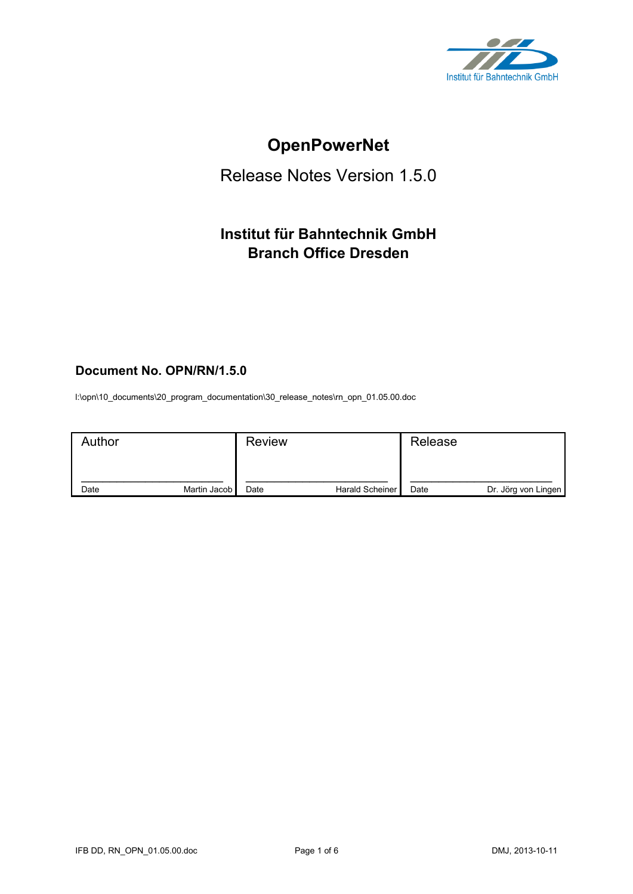

# **OpenPowerNet**

## Release Notes Version 1.5.0

## **Institut für Bahntechnik GmbH Branch Office Dresden**

## **Document No. OPN/RN/1.5.0**

l:\opn\10\_documents\20\_program\_documentation\30\_release\_notes\rn\_opn\_01.05.00.doc

| Author |              | <b>Review</b> |                 | Release |                     |
|--------|--------------|---------------|-----------------|---------|---------------------|
| Date   | Martin Jacob | Date          | Harald Scheiner | Date    | Dr. Jörg von Lingen |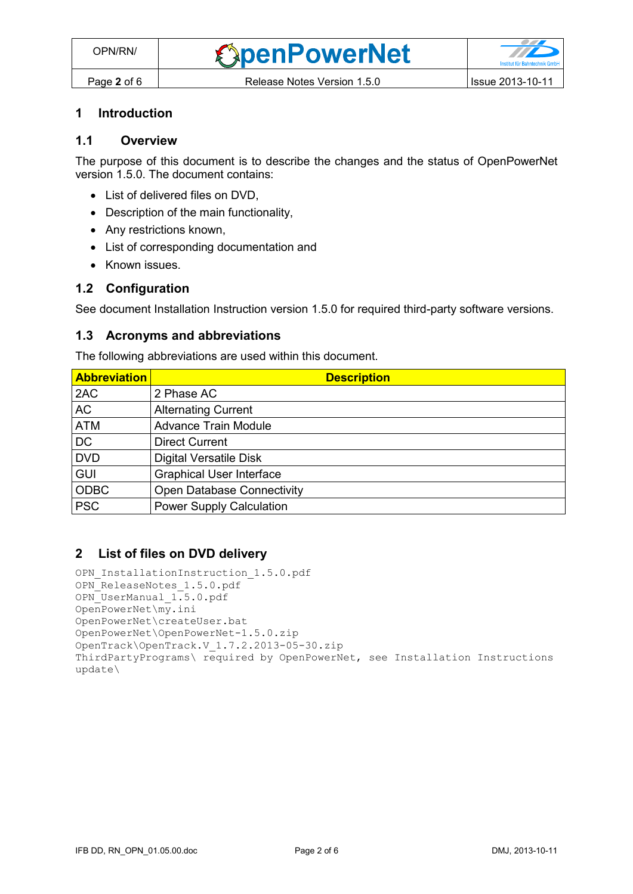#### **1 Introduction**

#### **1.1 Overview**

The purpose of this document is to describe the changes and the status of OpenPowerNet version 1.5.0. The document contains:

- List of delivered files on DVD,
- Description of the main functionality,
- Any restrictions known,
- List of corresponding documentation and
- Known issues.

#### **1.2 Configuration**

See document Installation Instruction version 1.5.0 for required third-party software versions.

#### **1.3 Acronyms and abbreviations**

The following abbreviations are used within this document.

| <b>Abbreviation</b> | <b>Description</b>                |
|---------------------|-----------------------------------|
| 2AC                 | 2 Phase AC                        |
| <b>AC</b>           | <b>Alternating Current</b>        |
| <b>ATM</b>          | <b>Advance Train Module</b>       |
| <b>DC</b>           | <b>Direct Current</b>             |
| <b>DVD</b>          | <b>Digital Versatile Disk</b>     |
| <b>GUI</b>          | <b>Graphical User Interface</b>   |
| <b>ODBC</b>         | <b>Open Database Connectivity</b> |
| <b>PSC</b>          | <b>Power Supply Calculation</b>   |

#### **2 List of files on DVD delivery**

```
OPN InstallationInstruction 1.5.0.pdf
OPN ReleaseNotes 1.5.0.pdf
OPN_UserManual_1.5.0.pdf
OpenPowerNet\my.ini
OpenPowerNet\createUser.bat
OpenPowerNet\OpenPowerNet-1.5.0.zip
OpenTrack\OpenTrack.V_1.7.2.2013-05-30.zip
ThirdPartyPrograms\ required by OpenPowerNet, see Installation Instructions
update\
```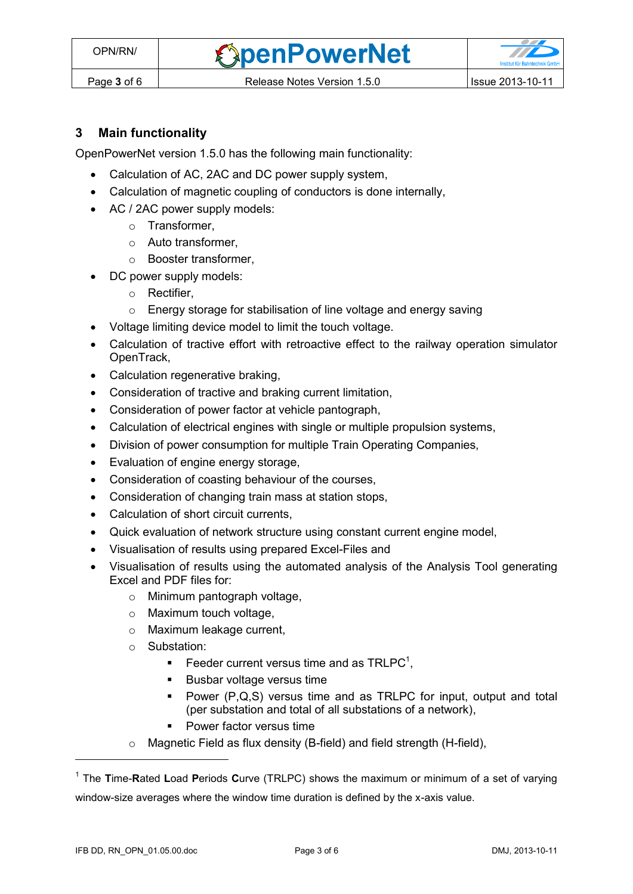*<u>SpenPowerNet</u>* 

## **3 Main functionality**

OpenPowerNet version 1.5.0 has the following main functionality:

- Calculation of AC, 2AC and DC power supply system,
- Calculation of magnetic coupling of conductors is done internally,
- AC / 2AC power supply models:
	- o Transformer,
	- $\circ$  Auto transformer
	- o Booster transformer,
	- DC power supply models:
		- o Rectifier,
		- o Energy storage for stabilisation of line voltage and energy saving
- Voltage limiting device model to limit the touch voltage.
- Calculation of tractive effort with retroactive effect to the railway operation simulator OpenTrack,
- Calculation regenerative braking,
- Consideration of tractive and braking current limitation,
- Consideration of power factor at vehicle pantograph,
- Calculation of electrical engines with single or multiple propulsion systems,
- Division of power consumption for multiple Train Operating Companies,
- Evaluation of engine energy storage,
- Consideration of coasting behaviour of the courses,
- Consideration of changing train mass at station stops,
- Calculation of short circuit currents,
- Quick evaluation of network structure using constant current engine model,
- Visualisation of results using prepared Excel-Files and
- <span id="page-2-0"></span> Visualisation of results using the automated analysis of the Analysis Tool generating Excel and PDF files for:
	- o Minimum pantograph voltage,
	- o Maximum touch voltage,
	- o Maximum leakage current,
	- o Substation:
		- Feeder current versus time and as  $TRLPC<sup>1</sup>$ ,
		- **Busbar voltage versus time**
		- **Power (P,Q,S) versus time and as TRLPC for input, output and total** (per substation and total of all substations of a network),
		- **Power factor versus time**
	- o Magnetic Field as flux density (B-field) and field strength (H-field),

 $\overline{a}$ 

<sup>1</sup> The **T**ime-**R**ated **L**oad **P**eriods **C**urve (TRLPC) shows the maximum or minimum of a set of varying window-size averages where the window time duration is defined by the x-axis value.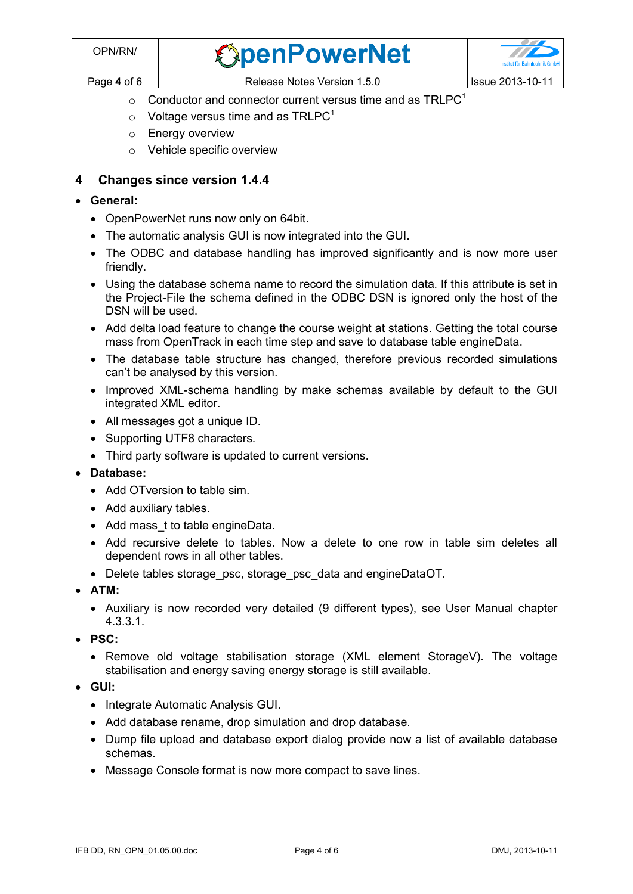| OPN/RN/     | <b><i><u>SpenPowerNet</u></i></b> | $\mathcal{L}$<br><b>Institut für Bahntechnik GmbH</b> |
|-------------|-----------------------------------|-------------------------------------------------------|
| Page 4 of 6 | Release Notes Version 1.5.0       | <b>Issue 2013-10-11</b>                               |

- $\circ$  [C](#page-2-0)onductor and connector current versus time and as TRLPC<sup>1</sup>
- $\circ$  Voltage versus time and as TRLPC<sup>[1](#page-2-0)</sup>
- o Energy overview
- o Vehicle specific overview

### **4 Changes since version 1.4.4**

- **General:**
	- OpenPowerNet runs now only on 64bit.
	- The automatic analysis GUI is now integrated into the GUI.
	- The ODBC and database handling has improved significantly and is now more user friendly.
	- Using the database schema name to record the simulation data. If this attribute is set in the Project-File the schema defined in the ODBC DSN is ignored only the host of the DSN will be used.
	- Add delta load feature to change the course weight at stations. Getting the total course mass from OpenTrack in each time step and save to database table engineData.
	- The database table structure has changed, therefore previous recorded simulations can't be analysed by this version.
	- Improved XML-schema handling by make schemas available by default to the GUI integrated XML editor.
	- All messages got a unique ID.
	- Supporting UTF8 characters.
	- Third party software is updated to current versions.
- **Database:**
	- Add OTversion to table sim.
	- Add auxiliary tables.
	- Add mass\_t to table engineData.
	- Add recursive delete to tables. Now a delete to one row in table sim deletes all dependent rows in all other tables.
	- Delete tables storage\_psc, storage\_psc\_data and engineDataOT.
- **ATM:**
	- Auxiliary is now recorded very detailed (9 different types), see User Manual chapter 4.3.3.1.
- **PSC:**
	- Remove old voltage stabilisation storage (XML element StorageV). The voltage stabilisation and energy saving energy storage is still available.
- **GUI:**
	- Integrate Automatic Analysis GUI.
	- Add database rename, drop simulation and drop database.
	- Dump file upload and database export dialog provide now a list of available database schemas.
	- Message Console format is now more compact to save lines.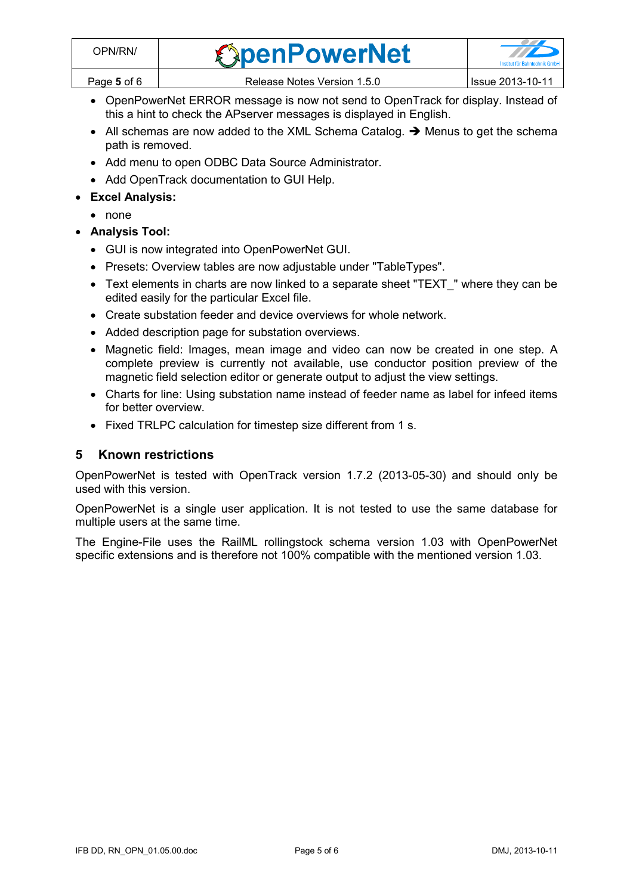| /PN/RN∩     | <b>SpenPowerNet</b>         |                         |
|-------------|-----------------------------|-------------------------|
| Page 5 of 6 | Release Notes Version 1.5.0 | <b>Issue 2013-10-11</b> |

- OpenPowerNet ERROR message is now not send to OpenTrack for display. Instead of this a hint to check the APserver messages is displayed in English.
- $\bullet$  All schemas are now added to the XML Schema Catalog.  $\rightarrow$  Menus to get the schema path is removed.
- Add menu to open ODBC Data Source Administrator.
- Add OpenTrack documentation to GUI Help.
- **Excel Analysis:**
	- none
- **Analysis Tool:**
	- GUI is now integrated into OpenPowerNet GUI.
	- Presets: Overview tables are now adjustable under "TableTypes".
	- Text elements in charts are now linked to a separate sheet "TEXT\_" where they can be edited easily for the particular Excel file.
	- Create substation feeder and device overviews for whole network.
	- Added description page for substation overviews.
	- Magnetic field: Images, mean image and video can now be created in one step. A complete preview is currently not available, use conductor position preview of the magnetic field selection editor or generate output to adjust the view settings.
	- Charts for line: Using substation name instead of feeder name as label for infeed items for better overview.
	- Fixed TRLPC calculation for timestep size different from 1 s.

### **5 Known restrictions**

OpenPowerNet is tested with OpenTrack version 1.7.2 (2013-05-30) and should only be used with this version.

OpenPowerNet is a single user application. It is not tested to use the same database for multiple users at the same time.

The Engine-File uses the RailML rollingstock schema version 1.03 with OpenPowerNet specific extensions and is therefore not 100% compatible with the mentioned version 1.03.